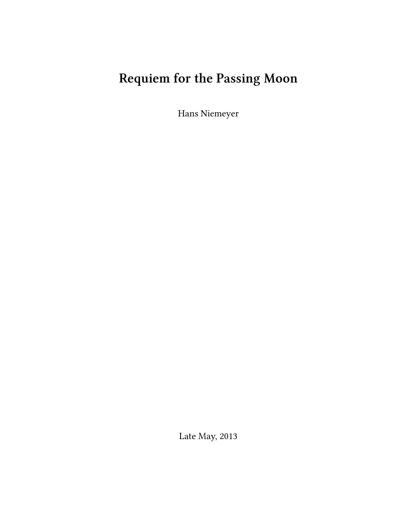# **Requiem for the Passing Moon**

Hans Niemeyer

Late May, 2013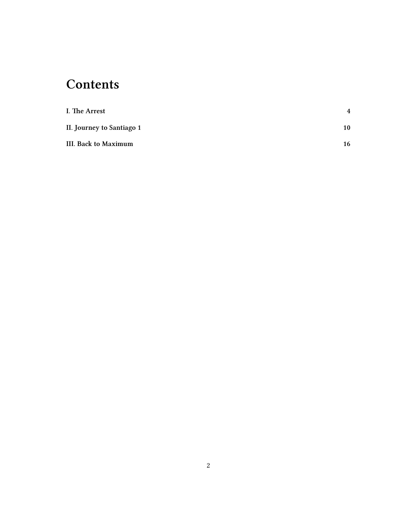## **Contents**

| I. The Arrest             | 4  |
|---------------------------|----|
| II. Journey to Santiago 1 | 10 |
| III. Back to Maximum      | 16 |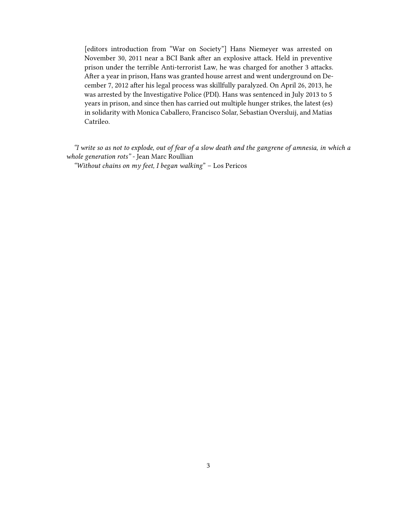[editors introduction from "War on Society"] Hans Niemeyer was arrested on November 30, 2011 near a BCI Bank after an explosive attack. Held in preventive prison under the terrible Anti-terrorist Law, he was charged for another 3 attacks. After a year in prison, Hans was granted house arrest and went underground on December 7, 2012 after his legal process was skillfully paralyzed. On April 26, 2013, he was arrested by the Investigative Police (PDI). Hans was [sentenced](http://waronsociety.noblogs.org/?p=8401) in July 2013 to 5 years in prison, and since then has carried out multiple hunger strikes, the [latest](http://vivalaanarquia.espivblogs.net/?p=16983) (es) in solidarity with Monica Caballero, Francisco Solar, Sebastian Oversluij, and Matias Catrileo.

*"I write so as not to explode, out of fear of a slow death and the gangrene of amnesia, in which a whole generation rots" -* Jean Marc Roullian *"Without chains on my feet, I began walking*" – Los Pericos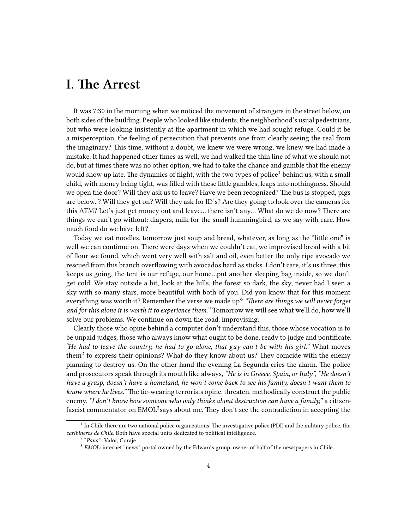#### <span id="page-3-0"></span>**I. The Arrest**

It was 7:30 in the morning when we noticed the movement of strangers in the street below, on both sides of the building. People who looked like students, the neighborhood's usual pedestrians, but who were looking insistently at the apartment in which we had sought refuge. Could it be a misperception, the feeling of persecution that prevents one from clearly seeing the real from the imaginary? This time, without a doubt, we knew we were wrong, we knew we had made a mistake. It had happened other times as well, we had walked the thin line of what we should not do, but at times there was no other option, we had to take the chance and gamble that the enemy would show up late. The dynamics of flight, with the two types of police<sup>1</sup> behind us, with a small child, with money being tight, was filled with these little gambles, leaps into nothingness. Should we open the door? Will they ask us to leave? Have we been recognized? The bus is stopped, pigs are below..? Will they get on? Will they ask for ID's? Are they going to look over the cameras for this ATM? Let's just get money out and leave… there isn't any… What do we do now? There are things we can't go without: diapers, milk for the small hummingbird, as we say with care. How much food do we have left?

Today we eat noodles, tomorrow just soup and bread, whatever, as long as the "little one" is well we can continue on. There were days when we couldn't eat, we improvised bread with a bit of flour we found, which went very well with salt and oil, even better the only ripe avocado we rescued from this branch overflowing with avocados hard as sticks. I don't care, it's us three, this keeps us going, the tent is our refuge, our home…put another sleeping bag inside, so we don't get cold. We stay outside a bit, look at the hills, the forest so dark, the sky, never had I seen a sky with so many stars, more beautiful with both of you. Did you know that for this moment everything was worth it? Remember the verse we made up? *"There are things we will never forget and for this alone it is worth it to experience them."* Tomorrow we will see what we'll do, how we'll solve our problems. We continue on down the road, improvising.

Clearly those who opine behind a computer don't understand this, those whose vocation is to be unpaid judges, those who always know what ought to be done, ready to judge and pontificate. *"He had to leave the country, he had to go alone, that guy can't be with his girl."* What moves them<sup>2</sup> to express their opinions? What do they know about us? They coincide with the enemy planning to destroy us. On the other hand the evening La Segunda cries the alarm. The police and prosecutors speak through its mouth like always, *"He is in Greece, Spain, or Italy", "He doesn't have a grasp, doesn't have a homeland, he won't come back to see his family, doesn't want them to know where he lives."* The tie-wearing terrorists opine, threaten, methodically construct the public enemy. *"I don't know how someone who only thinks about destruction can have a family,"* a citizenfascist commentator on  $\mathrm{EMOL}^3$ says about me. They don't see the contradiction in accepting the

<sup>&</sup>lt;sup>1</sup> In Chile there are two national police organizations: The investigative police (PDI) and the military police, the *caribineros de Chile*. Both have special units dedicated to political intelligence.

<sup>2</sup> "*Pana"*: Valor, Coraje

<sup>&</sup>lt;sup>3</sup> EMOL: internet "news" portal owned by the Edwards group, owner of half of the newspapers in Chile.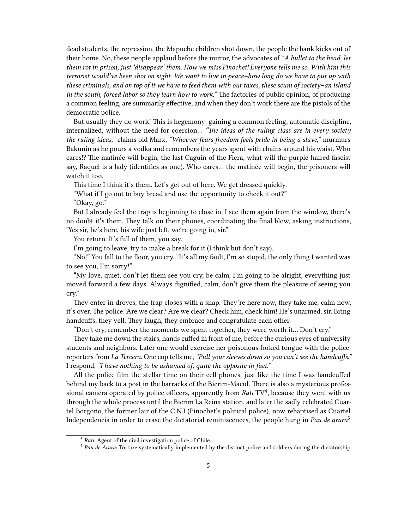dead students, the repression, the Mapuche children shot down, the people the bank kicks out of their home. No, these people applaud before the mirror, the advocates of "*A bullet to the head, let them rot in prison, just 'disappear' them. How we miss Pinochet! Everyone tells me so. With him this terrorist would've been shot on sight. We want to live in peace–how long do we have to put up with these criminals, and on top of it we have to feed them with our taxes, these scum of society–an island in the south, forced labor so they learn how to work."* The factories of public opinion, of producing a common feeling, are summarily effective, and when they don't work there are the pistols of the democratic police.

But usually they do work! This is hegemony: gaining a common feeling, automatic discipline, internalized, without the need for coercion… *"The ideas of the ruling class are in every society the ruling ideas,"* claims old Marx, *"Whoever fears freedom feels pride in being a slave,"* murmurs Bakunin as he pours a vodka and remembers the years spent with chains around his waist. Who cares⁉ The matinée will begin, the last Caguin of the Fiera, what will the purple-haired fascist say, Raquel is a lady (identifies as one). Who cares… the matinée will begin, the prisoners will watch it too.

This time I think it's them. Let's get out of here. We get dressed quickly.

"What if I go out to buy bread and use the opportunity to check it out?"

"Okay, go."

But I already feel the trap is beginning to close in, I see them again from the window, there's no doubt it's them. They talk on their phones, coordinating the final blow, asking instructions, "Yes sir, he's here, his wife just left, we're going in, sir."

You return. It's full of them, you say.

I'm going to leave, try to make a break for it (I think but don't say).

"No!" You fall to the floor, you cry, "It's all my fault, I'm so stupid, the only thing I wanted was to see you, I'm sorry!"

"My love, quiet, don't let them see you cry, be calm, I'm going to be alright, everything just moved forward a few days. Always dignified, calm, don't give them the pleasure of seeing you cry."

They enter in droves, the trap closes with a snap. They're here now, they take me, calm now, it's over. The police: Are we clear? Are we clear? Check him, check him! He's unarmed, sir. Bring handcuffs, they yell. They laugh, they embrace and congratulate each other.

"Don't cry, remember the moments we spent together, they were worth it… Don't cry."

They take me down the stairs, hands cuffed in front of me, before the curious eyes of university students and neighbors. Later one would exercise her poisonous forked tongue with the policereporters from *La Tercera*. One cop tells me, *"Pull your sleeves down so you can't see the handcuffs."* I respond, *"I have nothing to be ashamed of, quite the opposite in fact."*

All the police film the stellar time on their cell phones, just like the time I was handcuffed behind my back to a post in the barracks of the Bicrim-Macul. There is also a mysterious professional camera operated by police officers, apparently from *Rati* TV<sup>4</sup>, because they went with us through the whole process until the Bicrim La Reina station, and later the sadly celebrated Cuartel Borgoño, the former lair of the C.N.I (Pinochet's political police), now rebaptised as Cuartel Independencia in order to erase the dictatorial reminiscences, the people hung in *Pau de arara*<sup>5</sup>

<sup>4</sup> *Rati*: Agent of the civil investigation police of Chile.

<sup>&</sup>lt;sup>5</sup> Pau de Arara: Torture systematically implemented by the distinct police and soldiers during the dictatorship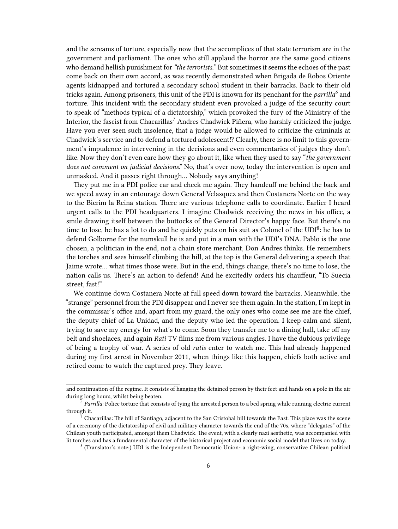and the screams of torture, especially now that the accomplices of that state terrorism are in the government and parliament. The ones who still applaud the horror are the same good citizens who demand hellish punishment for*"the terrorists."* But sometimes it seems the echoes of the past come back on their own accord, as was recently demonstrated when Brigada de Robos Oriente agents kidnapped and tortured a secondary school student in their barracks. Back to their old tricks again. Among prisoners, this unit of the PDI is known for its penchant for the *parrilla<sup>6</sup>* and torture. This incident with the secondary student even provoked a judge of the security court to speak of "methods typical of a dictatorship," which provoked the fury of the Ministry of the Interior, the fascist from Chacarillas<sup>7</sup> Andres Chadwick Piñera, who harshly criticized the judge. Have you ever seen such insolence, that a judge would be allowed to criticize the criminals at Chadwick's service and to defend a tortured adolescent!? Clearly, there is no limit to this government's impudence in intervening in the decisions and even commentaries of judges they don't like. Now they don't even care how they go about it, like when they used to say "*the government does not comment on judicial decisions*." No, that's over now, today the intervention is open and unmasked. And it passes right through… Nobody says anything!

They put me in a PDI police car and check me again. They handcuff me behind the back and we speed away in an entourage down General Velasquez and then Costanera Norte on the way to the Bicrim la Reina station. There are various telephone calls to coordinate. Earlier I heard urgent calls to the PDI headquarters. I imagine Chadwick receiving the news in his office, a smile drawing itself between the buttocks of the General Director's happy face. But there's no time to lose, he has a lot to do and he quickly puts on his suit as Colonel of the UDI<sup>8</sup>: he has to defend Golborne for the numskull he is and put in a man with the UDI's DNA. Pablo is the one chosen, a politician in the end, not a chain store merchant, Don Andres thinks. He remembers the torches and sees himself climbing the hill, at the top is the General delivering a speech that Jaime wrote… what times those were. But in the end, things change, there's no time to lose, the nation calls us. There's an action to defend! And he excitedly orders his chauffeur, "To Suecia street, fast!"

We continue down Costanera Norte at full speed down toward the barracks. Meanwhile, the "strange" personnel from the PDI disappear and I never see them again. In the station, I'm kept in the commissar's office and, apart from my guard, the only ones who come see me are the chief, the deputy chief of La Unidad, and the deputy who led the operation. I keep calm and silent, trying to save my energy for what's to come. Soon they transfer me to a dining hall, take off my belt and shoelaces, and again *Rati* TV films me from various angles. I have the dubious privilege of being a trophy of war. A series of old *ratis* enter to watch me. This had already happened during my first arrest in November 2011, when things like this happen, chiefs both active and retired come to watch the captured prey. They leave.

and continuation of the regime. It consists of hanging the detained person by their feet and hands on a pole in the air during long hours, whilst being beaten.

<sup>6</sup> *Parrilla*: Police torture that consists of tying the arrested person to a bed spring while running electric current through it.

<sup>7</sup> Chacarillas: The hill of Santiago, adjacent to the San Cristobal hill towards the East. This place was the scene of a ceremony of the dictatorship of civil and military character towards the end of the 70s, where "delegates" of the Chilean youth participated, amongst them Chadwick. The event, with a clearly nazi aesthetic, was accompanied with lit torches and has a fundamental character of the historical project and economic social model that lives on today.

<sup>8</sup> (Translator's note:) UDI is the Independent Democratic Union- a right-wing, conservative Chilean political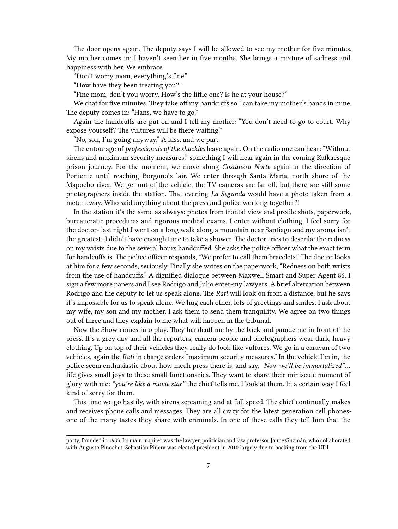The door opens again. The deputy says I will be allowed to see my mother for five minutes. My mother comes in; I haven't seen her in five months. She brings a mixture of sadness and happiness with her. We embrace.

"Don't worry mom, everything's fine."

"How have they been treating you?"

"Fine mom, don't you worry. How's the little one? Is he at your house?"

We chat for five minutes. They take off my handcuffs so I can take my mother's hands in mine. The deputy comes in: "Hans, we have to go."

Again the handcuffs are put on and I tell my mother: "You don't need to go to court. Why expose yourself? The vultures will be there waiting."

"No, son, I'm going anyway." A kiss, and we part.

The entourage of *professionals of the shackles* leave again. On the radio one can hear: "Without sirens and maximum security measures," something I will hear again in the coming Kafkaesque prison journey. For the moment, we move along *Costanera Norte* again in the direction of Poniente until reaching Borgoño's lair. We enter through Santa María, north shore of the Mapocho river. We get out of the vehicle, the TV cameras are far off, but there are still some photographers inside the station. That evening *La Segunda* would have a photo taken from a meter away. Who said anything about the press and police working together?!

In the station it's the same as always: photos from frontal view and profile shots, paperwork, bureaucratic procedures and rigorous medical exams. I enter without clothing, I feel sorry for the doctor- last night I went on a long walk along a mountain near Santiago and my aroma isn't the greatest–I didn't have enough time to take a shower. The doctor tries to describe the redness on my wrists due to the several hours handcuffed. She asks the police officer what the exact term for handcuffs is. The police officer responds, "We prefer to call them bracelets." The doctor looks at him for a few seconds, seriously. Finally she writes on the paperwork, "Redness on both wrists from the use of handcuffs." A dignified dialogue between Maxwell Smart and Super Agent 86. I sign a few more papers and I see Rodrigo and Julio enter-my lawyers. A brief altercation between Rodrigo and the deputy to let us speak alone. The *Rati* will look on from a distance, but he says it's impossible for us to speak alone. We hug each other, lots of greetings and smiles. I ask about my wife, my son and my mother. I ask them to send them tranquility. We agree on two things out of three and they explain to me what will happen in the tribunal.

Now the Show comes into play. They handcuff me by the back and parade me in front of the press. It's a grey day and all the reporters, camera people and photographers wear dark, heavy clothing. Up on top of their vehicles they really do look like vultures. We go in a caravan of two vehicles, again the *Rati* in charge orders "maximum security measures." In the vehicle I'm in, the police seem enthusiastic about how mcuh press there is, and say, *"Now we'll be immortalized"*… life gives small joys to these small functionaries. They want to share their miniscule moment of glory with me: *"you're like a movie star"* the chief tells me. I look at them. In a certain way I feel kind of sorry for them.

This time we go hastily, with sirens screaming and at full speed. The chief continually makes and receives phone calls and messages. They are all crazy for the latest generation cell phonesone of the many tastes they share with criminals. In one of these calls they tell him that the

party, founded in 1983. Its main inspirer was the lawyer, politician and law professor Jaime Guzmán, who collaborated with Augusto Pinochet. Sebastián Piñera was elected president in 2010 largely due to backing from the UDI.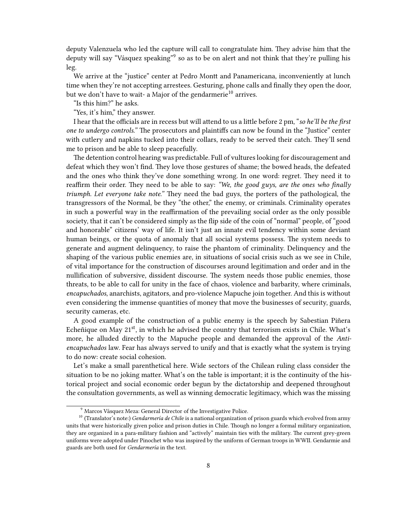deputy Valenzuela who led the capture will call to congratulate him. They advise him that the deputy will say "Vásquez speaking"<sup>9</sup> so as to be on alert and not think that they're pulling his leg.

We arrive at the "justice" center at Pedro Montt and Panamericana, inconveniently at lunch time when they're not accepting arrestees. Gesturing, phone calls and finally they open the door, but we don't have to wait- a Major of the gendarmerie<sup>10</sup> arrives.

"Is this him?" he asks.

"Yes, it's him," they answer.

I hear that the officials are in recess but will attend to us a little before 2 pm, "*so he'll be the first one to undergo controls."* The prosecutors and plaintiffs can now be found in the "Justice" center with cutlery and napkins tucked into their collars, ready to be served their catch. They'll send me to prison and be able to sleep peacefully.

The detention control hearing was predictable. Full of vultures looking for discouragement and defeat which they won't find. They love those gestures of shame; the bowed heads, the defeated and the ones who think they've done something wrong. In one word: regret. They need it to reaffirm their order. They need to be able to say: *"We, the good guys, are the ones who finally triumph. Let everyone take note."* They need the bad guys, the porters of the pathological, the transgressors of the Normal, be they "the other," the enemy, or criminals. Criminality operates in such a powerful way in the reaffirmation of the prevailing social order as the only possible society, that it can't be considered simply as the flip side of the coin of "normal" people, of "good and honorable" citizens' way of life. It isn't just an innate evil tendency within some deviant human beings, or the quota of anomaly that all social systems possess. The system needs to generate and augment delinquency, to raise the phantom of criminality. Delinquency and the shaping of the various public enemies are, in situations of social crisis such as we see in Chile, of vital importance for the construction of discourses around legitimation and order and in the nullification of subversive, dissident discourse. The system needs those public enemies, those threats, to be able to call for unity in the face of chaos, violence and barbarity, where criminals, *encapuchados*, anarchists, agitators, and pro-violence Mapuche join together. And this is without even considering the immense quantities of money that move the businesses of security, guards, security cameras, etc.

A good example of the construction of a public enemy is the speech by Sabestian Piñera Echeñique on May  $21^{st}$ , in which he advised the country that terrorism exists in Chile. What's more, he alluded directly to the Mapuche people and demanded the approval of the *Antiencapuchados* law. Fear has always served to unify and that is exactly what the system is trying to do now: create social cohesion.

Let's make a small parenthetical here. Wide sectors of the Chilean ruling class consider the situation to be no joking matter. What's on the table is important; it is the continuity of the historical project and social economic order begun by the dictatorship and deepened throughout the consultation governments, as well as winning democratic legitimacy, which was the missing

<sup>9</sup> Marcos Vásquez Meza: General Director of the Investigative Police.

<sup>&</sup>lt;sup>10</sup> (Translator's note:) *Gendarmería de Chile* is a national organization of prison guards which evolved from army units that were historically given police and prison duties in Chile. Though no longer a formal military organization, they are organized in a para-military fashion and "actively" maintain ties with the military. The current grey-green uniforms were adopted under Pinochet who was inspired by the uniform of German troops in WWII. Gendarmie and guards are both used for *Gendarmería* in the text.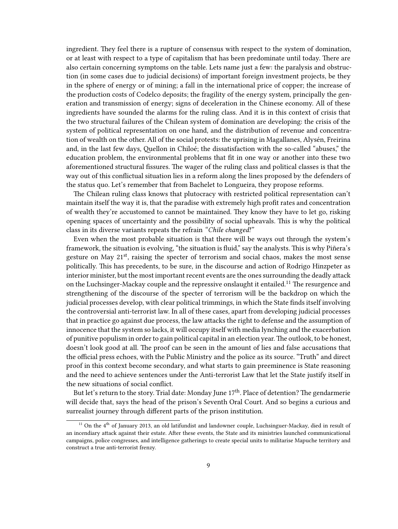ingredient. They feel there is a rupture of consensus with respect to the system of domination, or at least with respect to a type of capitalism that has been predominate until today. There are also certain concerning symptoms on the table. Lets name just a few: the paralysis and obstruction (in some cases due to judicial decisions) of important foreign investment projects, be they in the sphere of energy or of mining; a fall in the international price of copper; the increase of the production costs of Codelco deposits; the fragility of the energy system, principally the generation and transmission of energy; signs of deceleration in the Chinese economy. All of these ingredients have sounded the alarms for the ruling class. And it is in this context of crisis that the two structural failures of the Chilean system of domination are developing: the crisis of the system of political representation on one hand, and the distribution of revenue and concentration of wealth on the other. All of the social protests: the uprising in Magallanes, Alysén, Freirina and, in the last few days, Quellon in Chiloé; the dissatisfaction with the so-called "abuses," the education problem, the environmental problems that fit in one way or another into these two aforementioned structural fissures. The wager of the ruling class and political classes is that the way out of this conflictual situation lies in a reform along the lines proposed by the defenders of the status quo. Let's remember that from Bachelet to Longueira, they propose reforms.

The Chilean ruling class knows that plutocracy with restricted political representation can't maintain itself the way it is, that the paradise with extremely high profit rates and concentration of wealth they're accustomed to cannot be maintained. They know they have to let go, risking opening spaces of uncertainty and the possibility of social upheavals. This is why the political class in its diverse variants repeats the refrain *"Chile changed!"*

Even when the most probable situation is that there will be ways out through the system's framework, the situation is evolving, "the situation is fluid," say the analysts. This is why Piñera's gesture on May 21<sup>st</sup>, raising the specter of terrorism and social chaos, makes the most sense politically. This has precedents, to be sure, in the discourse and action of Rodrigo Hinzpeter as interior minister, but the most important recent events are the ones surrounding the deadly attack on the Luchsinger-Mackay couple and the repressive onslaught it entailed.<sup>11</sup> The resurgence and strengthening of the discourse of the specter of terrorism will be the backdrop on which the judicial processes develop, with clear political trimmings, in which the State finds itself involving the controversial anti-terrorist law. In all of these cases, apart from developing judicial processes that in practice go against due process, the law attacks the right to defense and the assumption of innocence that the system so lacks, it will occupy itself with media lynching and the exacerbation of punitive populism in order to gain political capital in an election year.The outlook, to be honest, doesn't look good at all. The proof can be seen in the amount of lies and false accusations that the official press echoes, with the Public Ministry and the police as its source. "Truth" and direct proof in this context become secondary, and what starts to gain preeminence is State reasoning and the need to achieve sentences under the Anti-terrorist Law that let the State justify itself in the new situations of social conflict.

But let's return to the story. Trial date: Monday June  $17<sup>th</sup>$ . Place of detention? The gendarmerie will decide that, says the head of the prison's Seventh Oral Court. And so begins a curious and surrealist journey through different parts of the prison institution.

<sup>&</sup>lt;sup>11</sup> On the  $4<sup>th</sup>$  of January 2013, an old latifundist and landowner couple, Luchsinguer-Mackay, died in result of an incendiary attack against their estate. After these events, the State and its ministries launched communicational campaigns, police congresses, and intelligence gatherings to create special units to militarise Mapuche territory and construct a true anti-terrorist frenzy.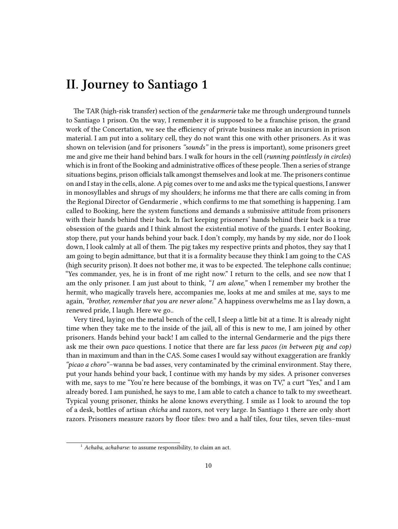### <span id="page-9-0"></span>**II. Journey to Santiago 1**

The TAR (high-risk transfer) section of the *gendarmerie* take me through underground tunnels to Santiago 1 prison. On the way, I remember it is supposed to be a franchise prison, the grand work of the Concertation, we see the efficiency of private business make an incursion in prison material. I am put into a solitary cell, they do not want this one with other prisoners. As it was shown on television (and for prisoners *"sounds"* in the press is important), some prisoners greet me and give me their hand behind bars. I walk for hours in the cell (*running pointlessly in circles*) which is in front of the Booking and administrative offices of these people. Then a series of strange situations begins, prison officials talk amongst themselves and look at me. The prisoners continue on and I stay in the cells, alone. A pig comes over to me and asks me the typical questions, I answer in monosyllables and shrugs of my shoulders; he informs me that there are calls coming in from the Regional Director of Gendarmerie , which confirms to me that something is happening. I am called to Booking*,* here the system functions and demands a submissive attitude from prisoners with their hands behind their back. In fact keeping prisoners' hands behind their back is a true obsession of the guards and I think almost the existential motive of the guards. I enter Booking, stop there, put your hands behind your back. I don't comply, my hands by my side, nor do I look down, I look calmly at all of them. The pig takes my respective prints and photos, they say that I am going to begin admittance, but that it is a formality because they think I am going to the CAS (high security prison). It does not bother me, it was to be expected. The telephone calls continue; "Yes commander, yes, he is in front of me right now." I return to the cells, and see now that I am the only prisoner. I am just about to think, *"I am alone,"* when I remember my brother the hermit, who magically travels here, accompanies me, looks at me and smiles at me, says to me again, *"brother, remember that you are never alone."* A happiness overwhelms me as I lay down, a renewed pride, I laugh. Here we go..

Very tired, laying on the metal bench of the cell, I sleep a little bit at a time. It is already night time when they take me to the inside of the jail, all of this is new to me, I am joined by other prisoners. Hands behind your back! I am called to the internal Gendarmerie and the pigs there ask me their own *paco* questions. I notice that there are far less *pacos (in between pig and cop)* than in maximum and than in the CAS. Some cases I would say without exaggeration are frankly *"picao a choro"*–wanna be bad asses, very contaminated by the criminal environment. Stay there, put your hands behind your back, I continue with my hands by my sides. A prisoner converses with me, says to me "You're here because of the bombings, it was on TV," a curt "Yes," and I am already bored. I am punished, he says to me, I am able to catch a chance to talk to my sweetheart. Typical young prisoner, thinks he alone knows everything. I smile as I look to around the top of a desk, bottles of artisan *chicha* and razors, not very large. In Santiago 1 there are only short razors. Prisoners measure razors by floor tiles: two and a half tiles, four tiles, seven tiles–must

<sup>&</sup>lt;sup>1</sup> *Achaba, achabarse*: to assume responsibility, to claim an act.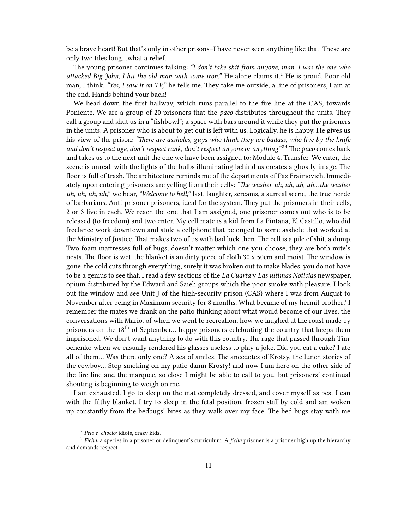be a brave heart! But that's only in other prisons–I have never seen anything like that. These are only two tiles long…what a relief.

The young prisoner continues talking: *"I don't take shit from anyone, man. I was the one who attacked Big John, I hit the old man with some iron."* He alone claims it.<sup>1</sup> He is proud. Poor old man, I think. *"Yes, I saw it on TV,"* he tells me. They take me outside, a line of prisoners, I am at the end. Hands behind your back!

We head down the first hallway, which runs parallel to the fire line at the CAS, towards Poniente. We are a group of 20 prisoners that the *paco* distributes throughout the units. They call a group and shut us in a "fishbowl"; a space with bars around it while they put the prisoners in the units. A prisoner who is about to get out is left with us. Logically, he is happy. He gives us his view of the prison: *"There are assholes, guys who think they are badass, who live by the knife and don't respect age, don't respect rank, don't respect anyone or anything*."<sup>23</sup> The *paco* comes back and takes us to the next unit the one we have been assigned to: Module 4, Transfer. We enter, the scene is unreal, with the lights of the bulbs illuminating behind us creates a ghostly image. The floor is full of trash. The architecture reminds me of the departments of Paz Fraimovich. Immediately upon entering prisoners are yelling from their cells: *"The washer uh, uh, uh, uh…the washer uh, uh, uh, uh,*" we hear, *"Welcome to hell,"* last, laughter, screams, a surreal scene, the true horde of barbarians. Anti-prisoner prisoners, ideal for the system. They put the prisoners in their cells, 2 or 3 live in each. We reach the one that I am assigned, one prisoner comes out who is to be released (to freedom) and two enter. My cell mate is a kid from La Pintana, El Castillo, who did freelance work downtown and stole a cellphone that belonged to some asshole that worked at the Ministry of Justice. That makes two of us with bad luck then. The cell is a pile of shit, a dump. Two foam mattresses full of bugs, doesn't matter which one you choose, they are both mite's nests. The floor is wet, the blanket is an dirty piece of cloth 30 x 50cm and moist. The window is gone, the cold cuts through everything, surely it was broken out to make blades, you do not have to be a genius to see that. I read a few sections of the *La Cuarta* y *Las ultimas Noticias* newspaper, opium distributed by the Edward and Saieh groups which the poor smoke with pleasure. I look out the window and see Unit J of the high-security prison (CAS) where I was from August to November after being in Maximum security for 8 months. What became of my hermit brother? I remember the mates we drank on the patio thinking about what would become of our lives, the conversations with Mario, of when we went to recreation, how we laughed at the roast made by prisoners on the 18<sup>th</sup> of September... happy prisoners celebrating the country that keeps them imprisoned. We don't want anything to do with this country. The rage that passed through Timochenko when we casually rendered his glasses useless to play a joke. Did you eat a cake? I ate all of them… Was there only one? A sea of smiles. The anecdotes of Krotsy, the lunch stories of the cowboy… Stop smoking on my patio damn Krosty! and now I am here on the other side of the fire line and the marquee, so close I might be able to call to you, but prisoners' continual shouting is beginning to weigh on me.

I am exhausted. I go to sleep on the mat completely dressed, and cover myself as best I can with the filthy blanket. I try to sleep in the fetal position, frozen stiff by cold and am woken up constantly from the bedbugs' bites as they walk over my face. The bed bugs stay with me

<sup>2</sup> *Pelo e' choclo:* idiots, crazy kids.

<sup>3</sup> *Ficha:* a species in a prisoner or delinquent's curriculum. A *ficha* prisoner is a prisoner high up the hierarchy and demands respect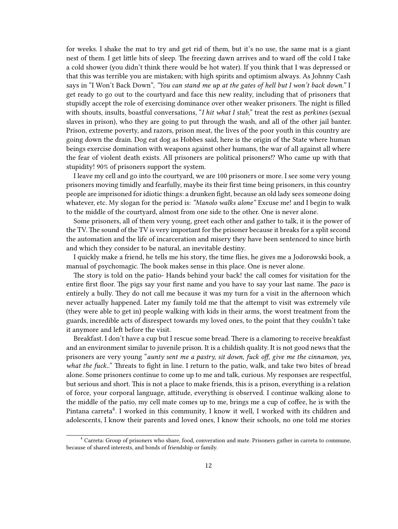for weeks. I shake the mat to try and get rid of them, but it's no use, the same mat is a giant nest of them. I get little bits of sleep. The freezing dawn arrives and to ward off the cold I take a cold shower (you didn't think there would be hot water). If you think that I was depressed or that this was terrible you are mistaken; with high spirits and optimism always. As Johnny Cash says in "I Won't Back Down", *"You can stand me up at the gates of hell but I won't back down."* I get ready to go out to the courtyard and face this new reality, including that of prisoners that stupidly accept the role of exercising dominance over other weaker prisoners. The night is filled with shouts, insults, boastful conversations, "*I hit what I stab,*" treat the rest as *perkines* (sexual slaves in prison), who they are going to put through the wash, and all of the other jail banter. Prison, extreme poverty, and razors, prison meat, the lives of the poor youth in this country are going down the drain. Dog eat dog as Hobbes said, here is the origin of the State where human beings exercise domination with weapons against other humans, the war of all against all where the fear of violent death exists. All prisoners are political prisoners!? Who came up with that stupidity! 90% of prisoners support the system.

I leave my cell and go into the courtyard, we are 100 prisoners or more. I see some very young prisoners moving timidly and fearfully, maybe its their first time being prisoners, in this country people are imprisoned for idiotic things: a drunken fight, because an old lady sees someone doing whatever, etc. My slogan for the period is: *"Manolo walks alone"* Excuse me! and I begin to walk to the middle of the courtyard, almost from one side to the other. One is never alone.

Some prisoners, all of them very young, greet each other and gather to talk, it is the power of the TV. The sound of the TV is very important for the prisoner because it breaks for a split second the automation and the life of incarceration and misery they have been sentenced to since birth and which they consider to be natural, an inevitable destiny.

I quickly make a friend, he tells me his story, the time flies, he gives me a Jodorowski book, a manual of psychomagic. The book makes sense in this place. One is never alone.

The story is told on the patio- Hands behind your back! the call comes for visitation for the entire first floor. The pigs say your first name and you have to say your last name. The *paco* is entirely a bully. They do not call me because it was my turn for a visit in the afternoon which never actually happened. Later my family told me that the attempt to visit was extremely vile (they were able to get in) people walking with kids in their arms, the worst treatment from the guards, incredible acts of disrespect towards my loved ones, to the point that they couldn't take it anymore and left before the visit.

Breakfast. I don't have a cup but I rescue some bread. There is a clamoring to receive breakfast and an environment similar to juvenile prison. It is a childish quality. It is not good news that the prisoners are very young "*aunty sent me a pastry, sit down, fuck off, give me the cinnamon, yes, what the fuck..*" Threats to fight in line. I return to the patio, walk, and take two bites of bread alone. Some prisoners continue to come up to me and talk, curious. My responses are respectful, but serious and short. This is not a place to make friends, this is a prison, everything is a relation of force, your corporal language, attitude, everything is observed. I continue walking alone to the middle of the patio, my cell mate comes up to me, brings me a cup of coffee, he is with the Pintana carreta<sup>4</sup>. I worked in this community, I know it well, I worked with its children and adolescents, I know their parents and loved ones, I know their schools, no one told me stories

<sup>4</sup> Carreta: Group of prisoners who share, food, converation and mate. Prisoners gather in carreta to commune, because of shared interests, and bonds of friendship or family.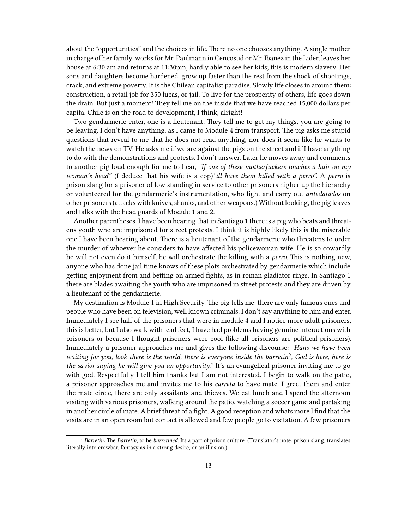about the "opportunities" and the choices in life. There no one chooses anything. A single mother in charge of her family, works for Mr. Paulmann in Cencosud or Mr. Ibañez in the Lider, leaves her house at 6:30 am and returns at 11:30pm, hardly able to see her kids; this is modern slavery. Her sons and daughters become hardened, grow up faster than the rest from the shock of shootings, crack, and extreme poverty. It is the Chilean capitalist paradise. Slowly life closes in around them: construction, a retail job for 350 lucas, or jail. To live for the prosperity of others, life goes down the drain. But just a moment! They tell me on the inside that we have reached 15,000 dollars per capita. Chile is on the road to development, I think, alright!

Two gendarmerie enter, one is a lieutenant. They tell me to get my things, you are going to be leaving. I don't have anything, as I came to Module 4 from transport. The pig asks me stupid questions that reveal to me that he does not read anything, nor does it seem like he wants to watch the news on TV. He asks me if we are against the pigs on the street and if I have anything to do with the demonstrations and protests. I don't answer. Later he moves away and comments to another pig loud enough for me to hear, *"If one of these motherfuckers touches a hair on my woman's head"* (I deduce that his wife is a cop)*"ill have them killed with a perro".* A *perro* is prison slang for a prisoner of low standing in service to other prisoners higher up the hierarchy or volunteered for the gendarmerie's instrumentation, who fight and carry out *antedatados* on other prisoners (attacks with knives, shanks, and other weapons.) Without looking, the pig leaves and talks with the head guards of Module 1 and 2.

Another parentheses. I have been hearing that in Santiago 1 there is a pig who beats and threatens youth who are imprisoned for street protests. I think it is highly likely this is the miserable one I have been hearing about. There is a lieutenant of the gendarmerie who threatens to order the murder of whoever he considers to have affected his policewoman wife. He is so cowardly he will not even do it himself, he will orchestrate the killing with a *perro*. This is nothing new, anyone who has done jail time knows of these plots orchestrated by gendarmerie which include getting enjoyment from and betting on armed fights, as in roman gladiator rings. In Santiago 1 there are blades awaiting the youth who are imprisoned in street protests and they are driven by a lieutenant of the gendarmerie.

My destination is Module 1 in High Security. The pig tells me: there are only famous ones and people who have been on television, well known criminals. I don't say anything to him and enter. Immediately I see half of the prisoners that were in module 4 and I notice more adult prisoners, this is better, but I also walk with lead feet, I have had problems having genuine interactions with prisoners or because I thought prisoners were cool (like all prisoners are political prisoners). Immediately a prisoner approaches me and gives the following discourse: *"Hans we have been waiting for you, look there is the world, there is everyone inside the barretin<sup>5</sup> , God is here, here is the savior saying he will give you an opportunity."* It's an evangelical prisoner inviting me to go with god. Respectfully I tell him thanks but I am not interested. I begin to walk on the patio, a prisoner approaches me and invites me to his *carreta* to have mate. I greet them and enter the mate circle, there are only assailants and thieves. We eat lunch and I spend the afternoon visiting with various prisoners, walking around the patio, watching a soccer game and partaking in another circle of mate. A brief threat of a fight. A good reception and whats more I find that the visits are in an open room but contact is allowed and few people go to visitation. A few prisoners

<sup>5</sup> *Barretin:* The *Barretin*, to be *barretined.* Its a part of prison culture. (Translator's note: prison slang, translates literally into crowbar, fantasy as in a strong desire, or an illusion.)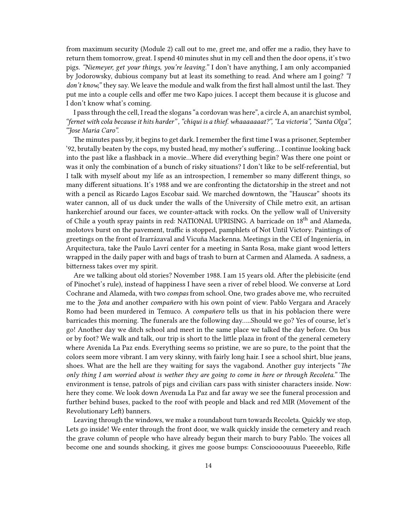from maximum security (Module 2) call out to me, greet me, and offer me a radio, they have to return them tomorrow, great. I spend 40 minutes shut in my cell and then the door opens, it's two pigs. *"Niemeyer, get your things, you're leaving."* I don't have anything, I am only accompanied by Jodorowsky, dubious company but at least its something to read. And where am I going? *"I don't know,"* they say. We leave the module and walk from the first hall almost until the last. They put me into a couple cells and offer me two Kapo juices. I accept them because it is glucose and I don't know what's coming.

I pass through the cell, I read the slogans "a cordovan was here", a circle A, an anarchist symbol, *"fernet with cola because it hits harder" , "chiqui is a thief. whaaaaaaat?", "La victoria", "Santa Olga", "Jose Maria Caro".*

The minutes pass by, it begins to get dark. I remember the first time I was a prisoner, September '92, brutally beaten by the cops, my busted head, my mother's suffering… I continue looking back into the past like a flashback in a movie…Where did everything begin? Was there one point or was it only the combination of a bunch of risky situations? I don't like to be self-referential, but I talk with myself about my life as an introspection, I remember so many different things, so many different situations. It's 1988 and we are confronting the dictatorship in the street and not with a pencil as Ricardo Lagos Escobar said. We marched downtown, the "Hauscar" shoots its water cannon, all of us duck under the walls of the University of Chile metro exit, an artisan hankerchief around our faces, we counter-attack with rocks. On the yellow wall of University of Chile a youth spray paints in red: NATIONAL UPRISING. A barricade on 18<sup>th</sup> and Alameda, molotovs burst on the pavement, traffic is stopped, pamphlets of Not Until Victory. Paintings of greetings on the front of Irarrázaval and Vicuña Mackenna. Meetings in the CEI of Ingeniería, in Arquitectura, take the Paulo Lavrí center for a meeting in Santa Rosa, make giant wood letters wrapped in the daily paper with and bags of trash to burn at Carmen and Alameda. A sadness, a bitterness takes over my spirit.

Are we talking about old stories? November 1988. I am 15 years old. After the plebisicite (end of Pinochet's rule), instead of happiness I have seen a river of rebel blood. We converse at Lord Cochrane and Alameda, with two *compas* from school. One, two grades above me, who recruited me to the *Jota a*nd another *compañero* with his own point of view. Pablo Vergara and Aracely Romo had been murdered in Temuco. A *compañero* tells us that in his poblacion there were barricades this morning. The funerals are the following day…..Should we go? Yes of course, let's go! Another day we ditch school and meet in the same place we talked the day before. On bus or by foot? We walk and talk, our trip is short to the little plaza in front of the general cemetery where Avenida La Paz ends. Everything seems so pristine, we are so pure, to the point that the colors seem more vibrant. I am very skinny, with fairly long hair. I see a school shirt, blue jeans, shoes. What are the hell are they waiting for says the vagabond. Another guy interjects "*The only thing I am worried about is wether they are going to come in here or through Recoleta."* The environment is tense, patrols of pigs and civilian cars pass with sinister characters inside. Now: here they come. We look down Avenuda La Paz and far away we see the funeral procession and further behind buses, packed to the roof with people and black and red MIR (Movement of the Revolutionary Left) banners.

Leaving through the windows, we make a roundabout turn towards Recoleta. Quickly we stop, Lets go inside! We enter through the front door, we walk quickly inside the cemetery and reach the grave column of people who have already begun their march to bury Pablo. The voices all become one and sounds shocking, it gives me goose bumps: Conscioooouuus Pueeeeblo, Rifle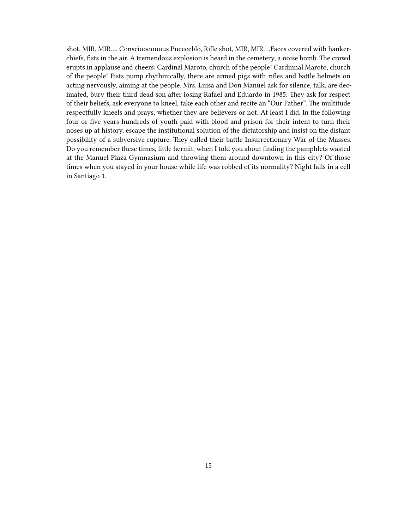shot, MIR, MIR…. Conscioooouuus Pueeeeblo, Rifle shot, MIR, MIR….Faces covered with hankerchiefs, fists in the air. A tremendous explosion is heard in the cemetery, a noise bomb. The crowd erupts in applause and cheers: Cardinal Maroto, church of the people! Cardinnal Maroto, church of the people! Fists pump rhythmically, there are armed pigs with rifles and battle helmets on acting nervously, aiming at the people. Mrs. Luisa and Don Manuel ask for silence, talk, are decimated, bury their third dead son after losing Rafael and Eduardo in 1985. They ask for respect of their beliefs, ask everyone to kneel, take each other and recite an "Our Father". The multitude respectfully kneels and prays, whether they are believers or not. At least I did. In the following four or five years hundreds of youth paid with blood and prison for their intent to turn their noses up at history, escape the institutional solution of the dictatorship and insist on the distant possibility of a subversive rupture. They called their battle Insurrectionary War of the Masses. Do you remember these times, little hermit, when I told you about finding the pamphlets wasted at the Manuel Plaza Gymnasium and throwing them around downtown in this city? Of those times when you stayed in your house while life was robbed of its normality? Night falls in a cell in Santiago 1.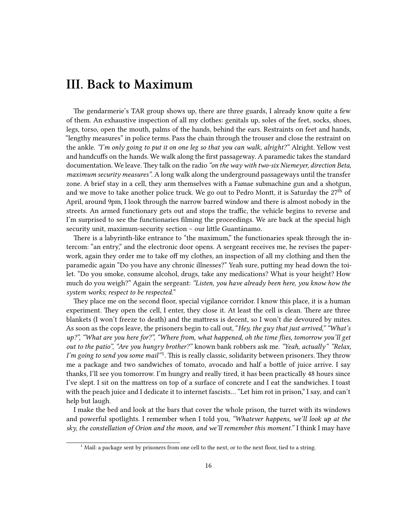#### <span id="page-15-0"></span>**III. Back to Maximum**

The gendarmerie's TAR group shows up, there are three guards, I already know quite a few of them. An exhaustive inspection of all my clothes: genitals up, soles of the feet, socks, shoes, legs, torso, open the mouth, palms of the hands, behind the ears. Restraints on feet and hands, "lengthy measures" in police terms. Pass the chain through the trouser and close the restraint on the ankle. *"I'm only going to put it on one leg so that you can walk, alright?"* Alright. Yellow vest and handcuffs on the hands. We walk along the first passageway. A paramedic takes the standard documentation. We leave. They talk on the radio *"on the way with two-six Niemeyer, direction Beta, maximum security measures"*. A long walk along the underground passageways until the transfer zone. A brief stay in a cell, they arm themselves with a Famae submachine gun and a shotgun, and we move to take another police truck. We go out to Pedro Montt, it is Saturday the  $27<sup>th</sup>$  of April, around 9pm, I look through the narrow barred window and there is almost nobody in the streets. An armed functionary gets out and stops the traffic, the vehicle begins to reverse and I'm surprised to see the functionaries filming the proceedings. We are back at the special high security unit, maximum-security section – our little Guantánamo.

There is a labyrinth-like entrance to "the maximum," the functionaries speak through the intercom: "an entry," and the electronic door opens. A sergeant receives me, he revises the paperwork, again they order me to take off my clothes, an inspection of all my clothing and then the paramedic again "Do you have any chronic illnesses?" Yeah sure, putting my head down the toilet. "Do you smoke, consume alcohol, drugs, take any medications? What is your height? How much do you weigh?" Again the sergeant: *"Listen, you have already been here, you know how the system works; respect to be respected.*"

They place me on the second floor, special vigilance corridor. I know this place, it is a human experiment. They open the cell, I enter, they close it. At least the cell is clean. There are three blankets (I won't freeze to death) and the mattress is decent, so I won't die devoured by mites. As soon as the cops leave, the prisoners begin to call out, "*Hey, the guy that just arrived," "What's up?", "What are you here for?", "Where from, what happened, oh the time flies, tomorrow you'll get out to the patio", "Are you hungry brother?"* known bank robbers ask me. *"Yeah, actually" "Relax,* I'm going to send you some mail"<sup>1</sup>. This is really classic, solidarity between prisoners. They throw me a package and two sandwiches of tomato, avocado and half a bottle of juice arrive. I say thanks, I'll see you tomorrow. I'm hungry and really tired, it has been practically 48 hours since I've slept. I sit on the mattress on top of a surface of concrete and I eat the sandwiches. I toast with the peach juice and I dedicate it to internet fascists… "Let him rot in prison," I say, and can't help but laugh.

I make the bed and look at the bars that cover the whole prison, the turret with its windows and powerful spotlights. I remember when I told you, *"Whatever happens, we'll look up at the sky, the constellation of Orion and the moon, and we'll remember this moment."* I think I may have

 $1$  Mail: a package sent by prisoners from one cell to the next, or to the next floor, tied to a string.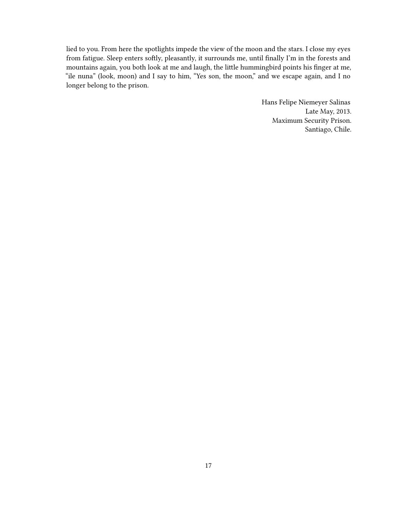lied to you. From here the spotlights impede the view of the moon and the stars. I close my eyes from fatigue. Sleep enters softly, pleasantly, it surrounds me, until finally I'm in the forests and mountains again, you both look at me and laugh, the little hummingbird points his finger at me, "ile nuna" (look, moon) and I say to him, "Yes son, the moon," and we escape again, and I no longer belong to the prison.

> Hans Felipe Niemeyer Salinas Late May, 2013. Maximum Security Prison. Santiago, Chile.